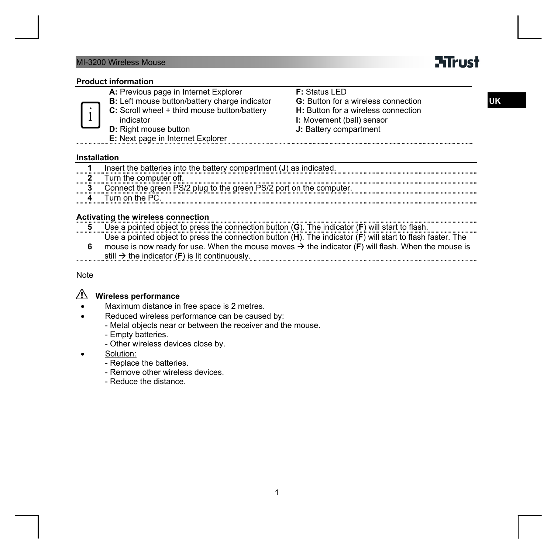### MI-3200 Wireless Mouse

# **ATrust**

**UK**

#### **Product information**

| 1 | A: Previous page in Internet Explorer<br>B: Left mouse button/battery charge indicator<br>C: Scroll wheel + third mouse button/battery<br>indicator<br><b>D:</b> Right mouse button<br>E: Next page in Internet Explorer | <b>F: Status LED</b><br><b>G:</b> Button for a wireless connection<br>H: Button for a wireless connection<br>I: Movement (ball) sensor<br>J: Battery compartment |
|---|--------------------------------------------------------------------------------------------------------------------------------------------------------------------------------------------------------------------------|------------------------------------------------------------------------------------------------------------------------------------------------------------------|
|   |                                                                                                                                                                                                                          |                                                                                                                                                                  |
|   |                                                                                                                                                                                                                          |                                                                                                                                                                  |

#### **Installation**

and and

|                                                                                                                                                                                       | lnsert the batteries into the battery compartment (J) as indicated. |
|---------------------------------------------------------------------------------------------------------------------------------------------------------------------------------------|---------------------------------------------------------------------|
|                                                                                                                                                                                       | Turn the computer off.                                              |
| Connect the green PS/2 plug to the green PS/2 port on the computer.<br>. Seminana ina kaiseina san Saninana ina akana ina minima ang kaominina ang manangana ang manangana ang manang |                                                                     |
|                                                                                                                                                                                       | Turn on the PC.                                                     |
|                                                                                                                                                                                       |                                                                     |

## **Activating the wireless connection**

**5** Use a pointed object to press the connection button (**G**). The indicator (**F**) will start to flash. Use a pointed object to press the connection button (**H**). The indicator (**F**) will start to flash faster. The

mouse is now ready for use. When the mouse moves  $\rightarrow$  the indicator (F) will flash. When the mouse is **6**  still  $\rightarrow$  the indicator (**F**) is lit continuously. . . . . . . . . . . . .

Note

# **Wireless performance**

- Maximum distance in free space is 2 metres.
	- Reduced wireless performance can be caused by:
		- Metal objects near or between the receiver and the mouse.
		- Empty batteries.
		- Other wireless devices close by.
- Solution:
	- Replace the batteries.
	- Remove other wireless devices.
	- Reduce the distance.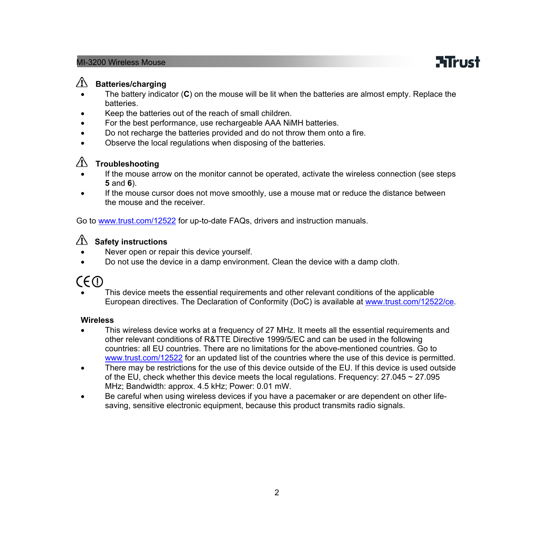#### MI-3200 Wireless Mouse

# **Mirust**

### **Batteries/charging**

- The battery indicator (**C**) on the mouse will be lit when the batteries are almost empty. Replace the **batteries**
- Keep the batteries out of the reach of small children.
- For the best performance, use rechargeable AAA NiMH batteries.
- Do not recharge the batteries provided and do not throw them onto a fire.
- Observe the local regulations when disposing of the batteries.

# **Troubleshooting**

- If the mouse arrow on the monitor cannot be operated, activate the wireless connection (see steps **5** and **6**).
- If the mouse cursor does not move smoothly, use a mouse mat or reduce the distance between the mouse and the receiver.

Go to [www.trust.com/12522](http://www.trust.com/12522) for up-to-date FAQs, drivers and instruction manuals.

## **Safety instructions**

- Never open or repair this device yourself.
- Do not use the device in a damp environment. Clean the device with a damp cloth.

# CE (D

• This device meets the essential requirements and other relevant conditions of the applicable European directives. The Declaration of Conformity (DoC) is available at [www.trust.com/12522/ce.](http://www.trust.com/12522/ce)

#### **Wireless**

- This wireless device works at a frequency of 27 MHz. It meets all the essential requirements and other relevant conditions of R&TTE Directive 1999/5/EC and can be used in the following countries: all EU countries. There are no limitations for the above-mentioned countries. Go to [www.trust.com/12522](http://www.trust.com/12522) for an updated list of the countries where the use of this device is permitted.
- There may be restrictions for the use of this device outside of the EU. If this device is used outside of the EU, check whether this device meets the local regulations. Frequency:  $27.045 \approx 27.095$ MHz; Bandwidth: approx. 4.5 kHz; Power: 0.01 mW.
- Be careful when using wireless devices if you have a pacemaker or are dependent on other lifesaving, sensitive electronic equipment, because this product transmits radio signals.